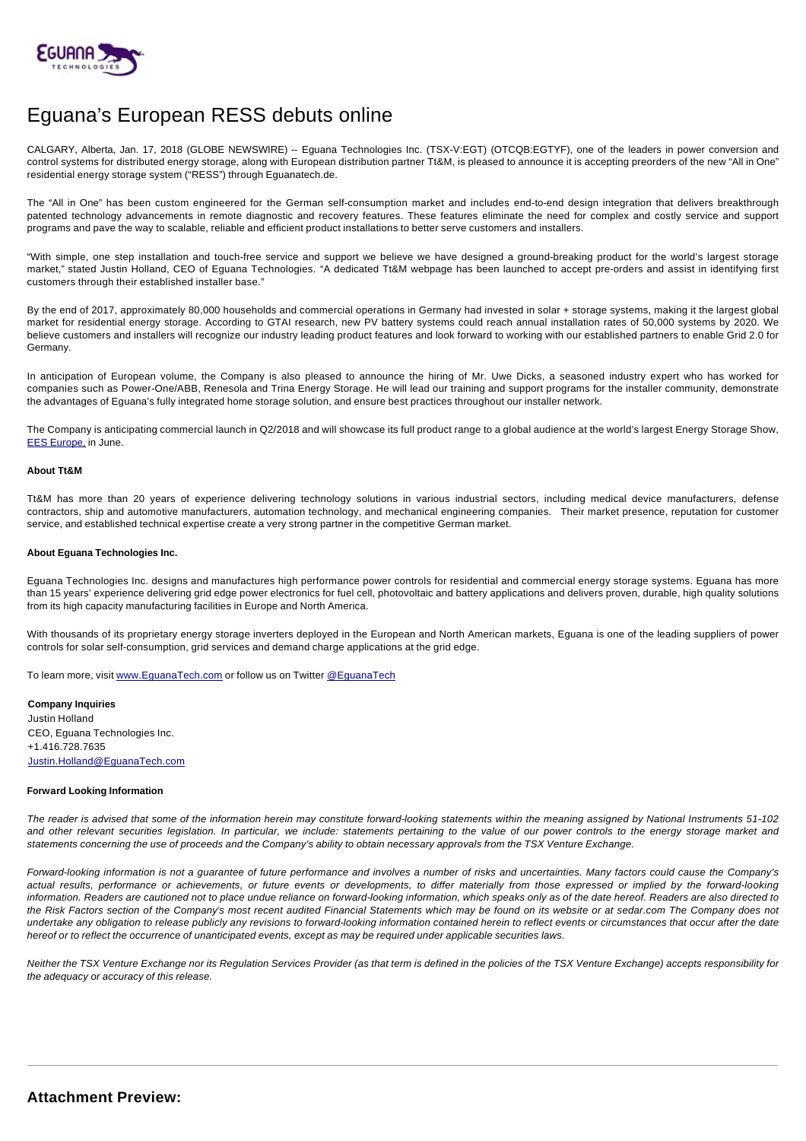

## Eguana's European RESS debuts online

CALGARY, Alberta, Jan. 17, 2018 (GLOBE NEWSWIRE) -- Eguana Technologies Inc. (TSX-V:EGT) (OTCQB:EGTYF), one of the leaders in power conversion and control systems for distributed energy storage, along with European distribution partner Tt&M, is pleased to announce it is accepting preorders of the new "All in One" residential energy storage system ("RESS") through Eguanatech.de.

The "All in One" has been custom engineered for the German self-consumption market and includes end-to-end design integration that delivers breakthrough patented technology advancements in remote diagnostic and recovery features. These features eliminate the need for complex and costly service and support programs and pave the way to scalable, reliable and efficient product installations to better serve customers and installers.

"With simple, one step installation and touch-free service and support we believe we have designed a ground-breaking product for the world's largest storage market," stated Justin Holland, CEO of Eguana Technologies. "A dedicated Tt&M webpage has been launched to accept pre-orders and assist in identifying first customers through their established installer base."

By the end of 2017, approximately 80,000 households and commercial operations in Germany had invested in solar + storage systems, making it the largest global market for residential energy storage. According to GTAI research, new PV battery systems could reach annual installation rates of 50,000 systems by 2020. We believe customers and installers will recognize our industry leading product features and look forward to working with our established partners to enable Grid 2.0 for Germany.

In anticipation of European volume, the Company is also pleased to announce the hiring of Mr. Uwe Dicks, a seasoned industry expert who has worked for companies such as Power-One/ABB, Renesola and Trina Energy Storage. He will lead our training and support programs for the installer community, demonstrate the advantages of Eguana's fully integrated home storage solution, and ensure best practices throughout our installer network.

The Company is anticipating commercial launch in Q2/2018 and will showcase its full product range to a global audience at the world's largest Energy Storage Show, [EES Europe](https://www.ees-europe.com/en/home.html), in June.

## **About Tt&M**

Tt&M has more than 20 years of experience delivering technology solutions in various industrial sectors, including medical device manufacturers, defense contractors, ship and automotive manufacturers, automation technology, and mechanical engineering companies. Their market presence, reputation for customer service, and established technical expertise create a very strong partner in the competitive German market.

## **About Eguana Technologies Inc.**

Eguana Technologies Inc. designs and manufactures high performance power controls for residential and commercial energy storage systems. Eguana has more than 15 years' experience delivering grid edge power electronics for fuel cell, photovoltaic and battery applications and delivers proven, durable, high quality solutions from its high capacity manufacturing facilities in Europe and North America.

With thousands of its proprietary energy storage inverters deployed in the European and North American markets, Eguana is one of the leading suppliers of power controls for solar self-consumption, grid services and demand charge applications at the grid edge.

To learn more, visit [www.EguanaTech.com](http://www.eguanatech.com/) or follow us on Twitter [@EguanaTech](https://twitter.com/EguanaTech)

**Company Inquiries** Justin Holland CEO, Eguana Technologies Inc. +1.416.728.7635 [Justin.Holland@EguanaTech.com](mailto:Justin.Holland@EguanaTech.com)

## **Forward Looking Information**

The reader is advised that some of the information herein may constitute forward-looking statements within the meaning assigned by National Instruments 51-102 and other relevant securities legislation. In particular, we include: statements pertaining to the value of our power controls to the energy storage market and statements concerning the use of proceeds and the Company's ability to obtain necessary approvals from the TSX Venture Exchange.

Forward-looking information is not a guarantee of future performance and involves a number of risks and uncertainties. Many factors could cause the Company's actual results, performance or achievements, or future events or developments, to differ materially from those expressed or implied by the forward-looking information. Readers are cautioned not to place undue reliance on forward-looking information, which speaks only as of the date hereof. Readers are also directed to the Risk Factors section of the Company's most recent audited Financial Statements which may be found on its website or at sedar.com The Company does not undertake any obligation to release publicly any revisions to forward-looking information contained herein to reflect events or circumstances that occur after the date hereof or to reflect the occurrence of unanticipated events, except as may be required under applicable securities laws.

Neither the TSX Venture Exchange nor its Regulation Services Provider (as that term is defined in the policies of the TSX Venture Exchange) accepts responsibility for the adequacy or accuracy of this release.